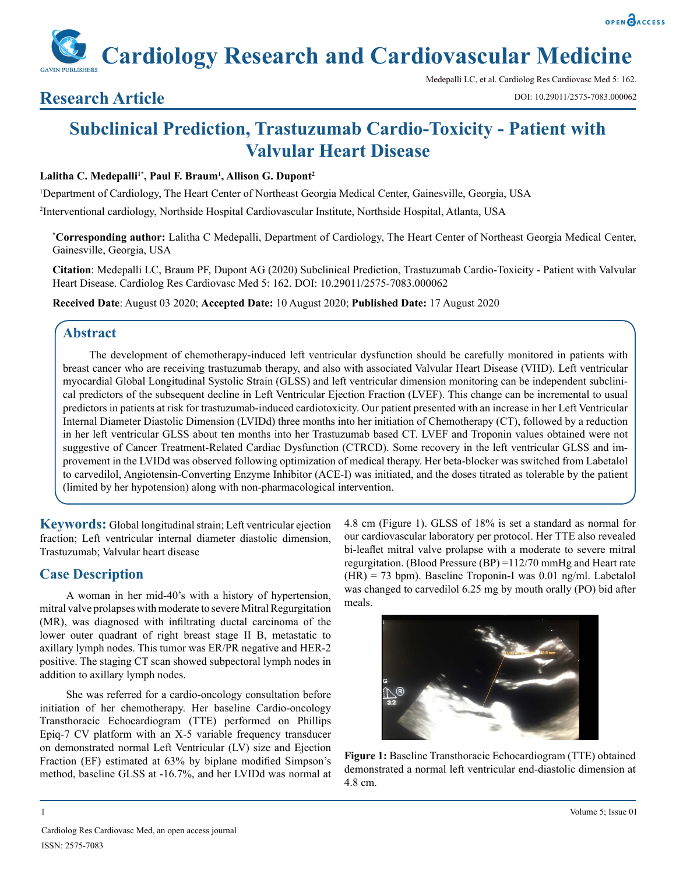**Cardiology Research and Cardiovascular Medicine**

## **Research Article**

Medepalli LC, et al. Cardiolog Res Cardiovasc Med 5: 162. DOI: 10.29011/2575-7083.000062

# **Subclinical Prediction, Trastuzumab Cardio-Toxicity - Patient with Valvular Heart Disease**

#### **Lalitha C. Medepalli1\*, Paul F. Braum1 , Allison G. Dupont2**

1 Department of Cardiology, The Heart Center of Northeast Georgia Medical Center, Gainesville, Georgia, USA 2 Interventional cardiology, Northside Hospital Cardiovascular Institute, Northside Hospital, Atlanta, USA

**\* Corresponding author:** Lalitha C Medepalli, Department of Cardiology, The Heart Center of Northeast Georgia Medical Center, Gainesville, Georgia, USA

**Citation**: Medepalli LC, Braum PF, Dupont AG (2020) Subclinical Prediction, Trastuzumab Cardio-Toxicity - Patient with Valvular Heart Disease. Cardiolog Res Cardiovasc Med 5: 162. DOI: 10.29011/2575-7083.000062

**Received Date**: August 03 2020; **Accepted Date:** 10 August 2020; **Published Date:** 17 August 2020

### **Abstract**

The development of chemotherapy-induced left ventricular dysfunction should be carefully monitored in patients with breast cancer who are receiving trastuzumab therapy, and also with associated Valvular Heart Disease (VHD). Left ventricular myocardial Global Longitudinal Systolic Strain (GLSS) and left ventricular dimension monitoring can be independent subclinical predictors of the subsequent decline in Left Ventricular Ejection Fraction (LVEF). This change can be incremental to usual predictors in patients at risk for trastuzumab-induced cardiotoxicity. Our patient presented with an increase in her Left Ventricular Internal Diameter Diastolic Dimension (LVIDd) three months into her initiation of Chemotherapy (CT), followed by a reduction in her left ventricular GLSS about ten months into her Trastuzumab based CT. LVEF and Troponin values obtained were not suggestive of Cancer Treatment-Related Cardiac Dysfunction (CTRCD). Some recovery in the left ventricular GLSS and improvement in the LVIDd was observed following optimization of medical therapy. Her beta-blocker was switched from Labetalol to carvedilol, Angiotensin-Converting Enzyme Inhibitor (ACE-I) was initiated, and the doses titrated as tolerable by the patient (limited by her hypotension) along with non-pharmacological intervention.

**Keywords:** Global longitudinal strain; Left ventricular ejection fraction; Left ventricular internal diameter diastolic dimension, Trastuzumab; Valvular heart disease

### **Case Description**

A woman in her mid-40's with a history of hypertension, mitral valve prolapses with moderate to severe Mitral Regurgitation (MR), was diagnosed with infiltrating ductal carcinoma of the lower outer quadrant of right breast stage II B, metastatic to axillary lymph nodes. This tumor was ER/PR negative and HER-2 positive. The staging CT scan showed subpectoral lymph nodes in addition to axillary lymph nodes.

She was referred for a cardio-oncology consultation before initiation of her chemotherapy. Her baseline Cardio-oncology Transthoracic Echocardiogram (TTE) performed on Phillips Epiq-7 CV platform with an X-5 variable frequency transducer on demonstrated normal Left Ventricular (LV) size and Ejection Fraction (EF) estimated at 63% by biplane modified Simpson's method, baseline GLSS at -16.7%, and her LVIDd was normal at

4.8 cm (Figure 1). GLSS of 18% is set a standard as normal for our cardiovascular laboratory per protocol. Her TTE also revealed bi-leaflet mitral valve prolapse with a moderate to severe mitral regurgitation. (Blood Pressure (BP) =112/70 mmHg and Heart rate (HR) = 73 bpm). Baseline Troponin-I was 0.01 ng/ml. Labetalol was changed to carvedilol 6.25 mg by mouth orally (PO) bid after meals.



**Figure 1:** Baseline Transthoracic Echocardiogram (TTE) obtained demonstrated a normal left ventricular end-diastolic dimension at 4.8 cm.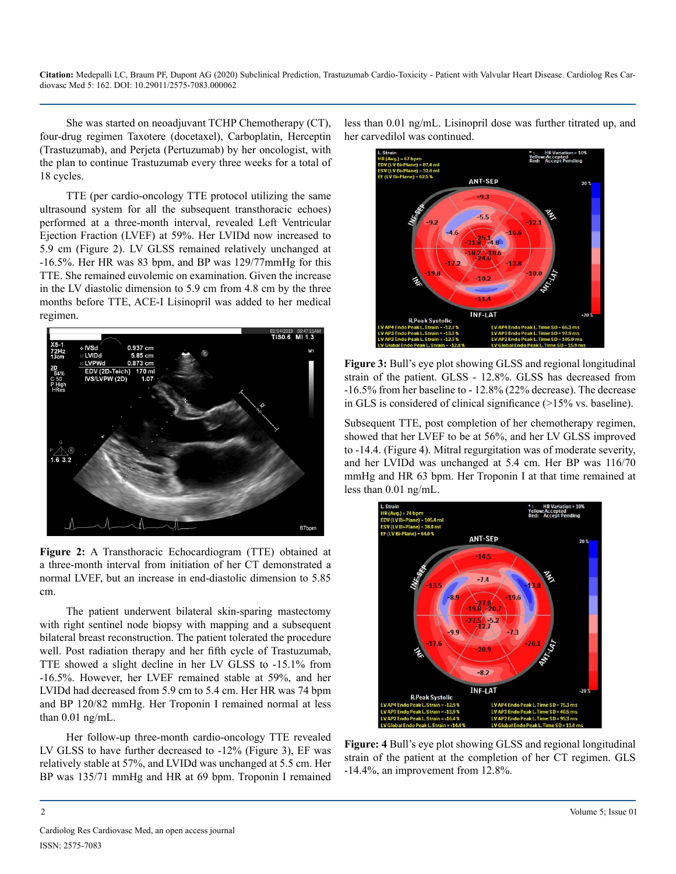**Citation:** Medepalli LC, Braum PF, Dupont AG (2020) Subclinical Prediction, Trastuzumab Cardio-Toxicity - Patient with Valvular Heart Disease. Cardiolog Res Cardiovasc Med 5: 162. DOI: 10.29011/2575-7083.000062

She was started on neoadjuvant TCHP Chemotherapy (CT), four-drug regimen Taxotere (docetaxel), Carboplatin, Herceptin (Trastuzumab), and Perjeta (Pertuzumab) by her oncologist, with the plan to continue Trastuzumab every three weeks for a total of 18 cycles.

TTE (per cardio-oncology TTE protocol utilizing the same ultrasound system for all the subsequent transthoracic echoes) performed at a three-month interval, revealed Left Ventricular Ejection Fraction (LVEF) at 59%. Her LVIDd now increased to 5.9 cm (Figure 2). LV GLSS remained relatively unchanged at -16.5%. Her HR was 83 bpm, and BP was 129/77mmHg for this TTE. She remained euvolemic on examination. Given the increase in the LV diastolic dimension to 5.9 cm from 4.8 cm by the three months before TTE, ACE-I Lisinopril was added to her medical regimen.



**Figure 2:** A Transthoracic Echocardiogram (TTE) obtained at a three-month interval from initiation of her CT demonstrated a normal LVEF, but an increase in end-diastolic dimension to 5.85 cm.

The patient underwent bilateral skin-sparing mastectomy with right sentinel node biopsy with mapping and a subsequent bilateral breast reconstruction. The patient tolerated the procedure well. Post radiation therapy and her fifth cycle of Trastuzumab, TTE showed a slight decline in her LV GLSS to -15.1% from -16.5%. However, her LVEF remained stable at 59%, and her LVIDd had decreased from 5.9 cm to 5.4 cm. Her HR was 74 bpm and BP 120/82 mmHg. Her Troponin I remained normal at less than 0.01 ng/mL.

Her follow-up three-month cardio-oncology TTE revealed LV GLSS to have further decreased to -12% (Figure 3), EF was relatively stable at 57%, and LVIDd was unchanged at 5.5 cm. Her BP was 135/71 mmHg and HR at 69 bpm. Troponin I remained

less than 0.01 ng/mL. Lisinopril dose was further titrated up, and her carvedilol was continued.



**Figure 3:** Bull's eye plot showing GLSS and regional longitudinal strain of the patient. GLSS - 12.8%. GLSS has decreased from -16.5% from her baseline to - 12.8% (22% decrease). The decrease in GLS is considered of clinical significance (>15% vs. baseline).

Subsequent TTE, post completion of her chemotherapy regimen, showed that her LVEF to be at 56%, and her LV GLSS improved to -14.4. (Figure 4). Mitral regurgitation was of moderate severity, and her LVIDd was unchanged at 5.4 cm. Her BP was 116/70 mmHg and HR 63 bpm. Her Troponin I at that time remained at less than 0.01 ng/mL.



**Figure: 4** Bull's eye plot showing GLSS and regional longitudinal strain of the patient at the completion of her CT regimen. GLS -14.4%, an improvement from 12.8%.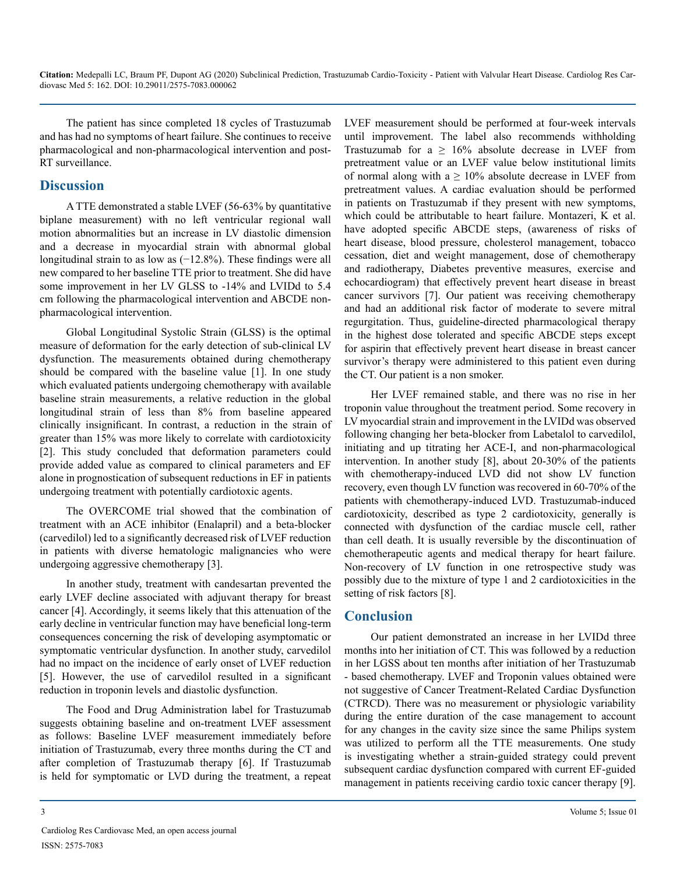**Citation:** Medepalli LC, Braum PF, Dupont AG (2020) Subclinical Prediction, Trastuzumab Cardio-Toxicity - Patient with Valvular Heart Disease. Cardiolog Res Cardiovasc Med 5: 162. DOI: 10.29011/2575-7083.000062

The patient has since completed 18 cycles of Trastuzumab and has had no symptoms of heart failure. She continues to receive pharmacological and non-pharmacological intervention and post-RT surveillance.

#### **Discussion**

A TTE demonstrated a stable LVEF (56-63% by quantitative biplane measurement) with no left ventricular regional wall motion abnormalities but an increase in LV diastolic dimension and a decrease in myocardial strain with abnormal global longitudinal strain to as low as (−12.8%). These findings were all new compared to her baseline TTE prior to treatment. She did have some improvement in her LV GLSS to -14% and LVIDd to 5.4 cm following the pharmacological intervention and ABCDE nonpharmacological intervention.

Global Longitudinal Systolic Strain (GLSS) is the optimal measure of deformation for the early detection of sub-clinical LV dysfunction. The measurements obtained during chemotherapy should be compared with the baseline value [1]. In one study which evaluated patients undergoing chemotherapy with available baseline strain measurements, a relative reduction in the global longitudinal strain of less than 8% from baseline appeared clinically insignificant. In contrast, a reduction in the strain of greater than 15% was more likely to correlate with cardiotoxicity [2]. This study concluded that deformation parameters could provide added value as compared to clinical parameters and EF alone in prognostication of subsequent reductions in EF in patients undergoing treatment with potentially cardiotoxic agents.

The OVERCOME trial showed that the combination of treatment with an ACE inhibitor (Enalapril) and a beta-blocker (carvedilol) led to a significantly decreased risk of LVEF reduction in patients with diverse hematologic malignancies who were undergoing aggressive chemotherapy [3].

In another study, treatment with candesartan prevented the early LVEF decline associated with adjuvant therapy for breast cancer [4]. Accordingly, it seems likely that this attenuation of the early decline in ventricular function may have beneficial long-term consequences concerning the risk of developing asymptomatic or symptomatic ventricular dysfunction. In another study, carvedilol had no impact on the incidence of early onset of LVEF reduction [5]. However, the use of carvedilol resulted in a significant reduction in troponin levels and diastolic dysfunction.

The Food and Drug Administration label for Trastuzumab suggests obtaining baseline and on-treatment LVEF assessment as follows: Baseline LVEF measurement immediately before initiation of Trastuzumab, every three months during the CT and after completion of Trastuzumab therapy [6]. If Trastuzumab is held for symptomatic or LVD during the treatment, a repeat

LVEF measurement should be performed at four-week intervals until improvement. The label also recommends withholding Trastuzumab for  $a \ge 16\%$  absolute decrease in LVEF from pretreatment value or an LVEF value below institutional limits of normal along with  $a \ge 10\%$  absolute decrease in LVEF from pretreatment values. A cardiac evaluation should be performed in patients on Trastuzumab if they present with new symptoms, which could be attributable to heart failure. Montazeri, K et al. have adopted specific ABCDE steps, (awareness of risks of heart disease, blood pressure, cholesterol management, tobacco cessation, diet and weight management, dose of chemotherapy and radiotherapy, Diabetes preventive measures, exercise and echocardiogram) that effectively prevent heart disease in breast cancer survivors [7]. Our patient was receiving chemotherapy and had an additional risk factor of moderate to severe mitral regurgitation. Thus, guideline-directed pharmacological therapy in the highest dose tolerated and specific ABCDE steps except for aspirin that effectively prevent heart disease in breast cancer survivor's therapy were administered to this patient even during the CT. Our patient is a non smoker.

Her LVEF remained stable, and there was no rise in her troponin value throughout the treatment period. Some recovery in LV myocardial strain and improvement in the LVIDd was observed following changing her beta-blocker from Labetalol to carvedilol, initiating and up titrating her ACE-I, and non-pharmacological intervention. In another study [8], about 20-30% of the patients with chemotherapy-induced LVD did not show LV function recovery, even though LV function was recovered in 60-70% of the patients with chemotherapy-induced LVD. Trastuzumab-induced cardiotoxicity, described as type 2 cardiotoxicity, generally is connected with dysfunction of the cardiac muscle cell, rather than cell death. It is usually reversible by the discontinuation of chemotherapeutic agents and medical therapy for heart failure. Non-recovery of LV function in one retrospective study was possibly due to the mixture of type 1 and 2 cardiotoxicities in the setting of risk factors [8].

### **Conclusion**

Our patient demonstrated an increase in her LVIDd three months into her initiation of CT. This was followed by a reduction in her LGSS about ten months after initiation of her Trastuzumab - based chemotherapy. LVEF and Troponin values obtained were not suggestive of Cancer Treatment-Related Cardiac Dysfunction (CTRCD). There was no measurement or physiologic variability during the entire duration of the case management to account for any changes in the cavity size since the same Philips system was utilized to perform all the TTE measurements. One study is investigating whether a strain-guided strategy could prevent subsequent cardiac dysfunction compared with current EF-guided management in patients receiving cardio toxic cancer therapy [9].